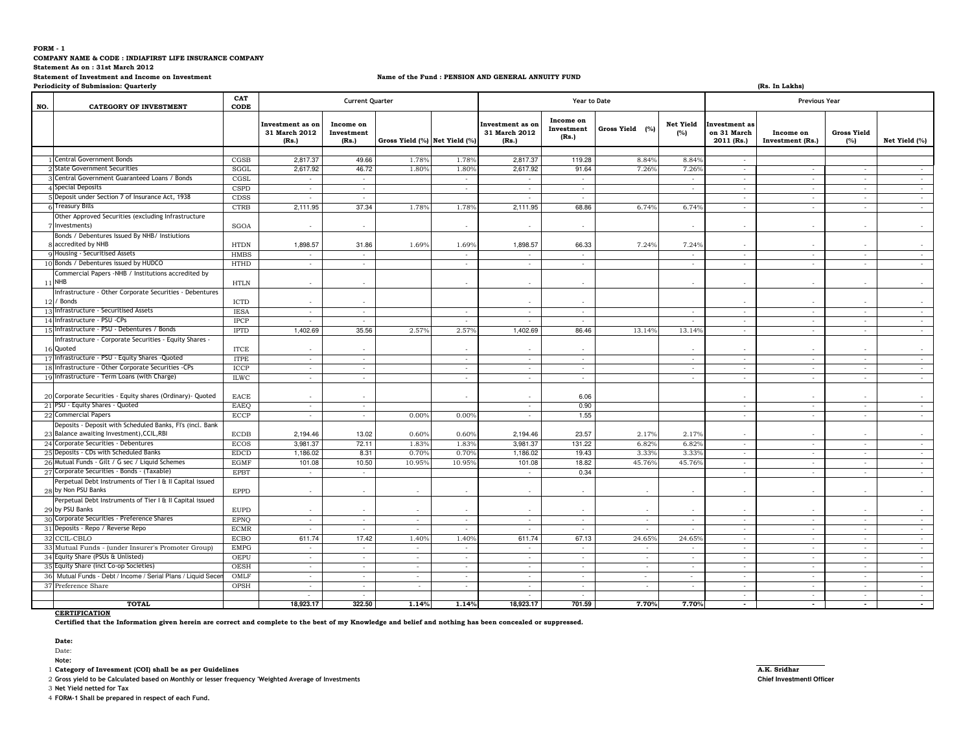**COMPANY NAME & CODE : INDIAFIRST LIFE INSURANCE COMPANY** 

**Statement As on : 31st March 2012**

#### **Statement of Investment and Income on Investment**

## **Name of the Fund : PENSION AND GENERAL ANNUITY FUND**

**Periodicity of Submission: Quarterly**

| <b>Periodicity of Submission: Quarterly</b><br>(Rs. In Lakhs |                                                                                 |                              |                                            |                                  |                               |                          |                                            |                                  |                 |                         |                                                   |                               |                                    |               |  |
|--------------------------------------------------------------|---------------------------------------------------------------------------------|------------------------------|--------------------------------------------|----------------------------------|-------------------------------|--------------------------|--------------------------------------------|----------------------------------|-----------------|-------------------------|---------------------------------------------------|-------------------------------|------------------------------------|---------------|--|
| NO.                                                          | <b>CATEGORY OF INVESTMENT</b>                                                   | CAT<br>CODE                  |                                            | <b>Current Quarter</b>           |                               |                          |                                            | Year to Date                     |                 |                         | <b>Previous Year</b>                              |                               |                                    |               |  |
|                                                              |                                                                                 |                              | Investment as on<br>31 March 2012<br>(Rs.) | Income on<br>Investment<br>(Rs.) | Gross Yield (%) Net Yield (%) |                          | Investment as on<br>31 March 2012<br>(Rs.) | Income on<br>Investment<br>(Rs.) | Gross Yield (%) | <b>Net Yield</b><br>(%) | <b>Investment</b> as<br>on 31 March<br>2011 (Rs.) | Income on<br>Investment (Rs.) | <b>Gross Yield</b><br>(%)          | Net Yield (%) |  |
|                                                              | 1 Central Government Bonds                                                      |                              |                                            | 49.66                            |                               |                          |                                            |                                  | 8.84%           |                         |                                                   |                               |                                    |               |  |
|                                                              | <b>State Government Securities</b>                                              | CGSB<br>SGGL                 | 2,817.37<br>2,617.92                       | 46.72                            | 1.78%<br>1.80%                | 1.78%<br>1.80%           | 2,817.37<br>2,617.92                       | 119.28<br>91.64                  | 7.26%           | 8.84%                   | $\sim$                                            |                               |                                    |               |  |
|                                                              | Gentral Government Guaranteed Loans / Bonds                                     | CGSL                         |                                            | $\sim$                           |                               |                          |                                            |                                  |                 | 7.269                   | $\sim$                                            |                               |                                    |               |  |
|                                                              | 4 Special Deposits                                                              | <b>CSPD</b>                  | $\sim$                                     |                                  |                               | $\sim$<br>$\sim$         | $\sim$                                     | $\sim$<br>$\sim$                 |                 | $\sim$<br>$\sim$        | $\sim$                                            | $\cdot$<br>$\sim$             | $\overline{\phantom{a}}$<br>$\sim$ | $\sim$        |  |
|                                                              | 5 Deposit under Section 7 of Insurance Act, 1938                                |                              | $\sim$                                     | $\sim$                           |                               |                          | $\sim$                                     |                                  |                 |                         | $\sim$                                            |                               |                                    | $\sim$        |  |
|                                                              | <b>5 Treasury Bills</b>                                                         | CDSS<br><b>CTRB</b>          | $\sim$                                     | $\sim$<br>37.34                  | 1.78%                         | 1.78%                    | $\sim$<br>2,111.95                         | $\sim$<br>68.86                  | 6.74%           | 6.74%                   | $\sim$                                            | $\overline{\phantom{a}}$      | $\sim$<br>$\sim$                   | $\sim$        |  |
|                                                              |                                                                                 |                              | 2,111.95                                   |                                  |                               |                          |                                            |                                  |                 |                         | $\sim$                                            | $\sim$                        |                                    | $\sim$        |  |
|                                                              | Other Approved Securities (excluding Infrastructure<br>Investments)             | SGOA                         |                                            |                                  |                               |                          |                                            | ٠.                               |                 |                         | $\sim$                                            |                               |                                    | $\sim$        |  |
|                                                              | Bonds / Debentures Issued By NHB/ Instiutions                                   |                              |                                            |                                  |                               |                          |                                            |                                  |                 |                         |                                                   |                               |                                    |               |  |
|                                                              | 8 accredited by NHB                                                             | <b>HTDN</b>                  | 1,898.57                                   | 31.86                            | 1.69%                         | 1.69%                    | 1,898.57                                   | 66.33                            | 7.24%           | 7.24%                   |                                                   |                               |                                    |               |  |
|                                                              | 9 Housing - Securitised Assets                                                  | <b>HMBS</b>                  | $\sim$                                     | $\sim$                           |                               | $\sim$                   | $\sim$                                     | $\sim$                           |                 | $\sim$                  | $\sim$                                            | $\sim$                        | $\sim$                             | $\sim$        |  |
|                                                              | 10 Bonds / Debentures issued by HUDCO                                           | <b>HTHD</b>                  | $\sim$                                     | $\sim$                           |                               | $\sim$                   | $\sim$                                     | $\sim$                           |                 | $\sim$                  | $\sim$                                            | $\sim$                        | $\sim$                             | $\sim$        |  |
|                                                              | Commercial Papers -NHB / Institutions accredited by<br>11 NHB                   | <b>HTLN</b>                  | $\sim$                                     |                                  |                               |                          |                                            |                                  |                 |                         |                                                   |                               |                                    | $\sim$        |  |
| 12 <sub>1</sub>                                              | Infrastructure - Other Corporate Securities - Debentures<br>/ Bonds             | <b>ICTD</b>                  | $\sim$                                     |                                  |                               |                          |                                            |                                  |                 |                         |                                                   |                               |                                    |               |  |
| 13 <sup>1</sup>                                              | Infrastructure - Securitised Assets                                             | <b>IESA</b>                  | $\sim$                                     | $\sim$                           |                               | ×.                       | $\sim$                                     | $\sim$                           |                 |                         | $\sim$                                            | ÷                             | ٠                                  | $\sim$        |  |
|                                                              | 14 Infrastructure - PSU -CPs                                                    | <b>IPCP</b>                  | $\sim$                                     | $\sim$                           |                               | $\sim$                   | $\sim$                                     | $\sim$                           |                 | $\sim$                  | $\sim$                                            | $\sim$                        | $\overline{\phantom{a}}$           | $\sim$        |  |
|                                                              | Infrastructure - PSU - Debentures / Bonds                                       | <b>IPTD</b>                  | 1,402.69                                   | 35.56                            | 2.57%                         | 2.57%                    | 1,402.69                                   | 86.46                            | 13.14%          | 13.14%                  | $\sim$                                            | ä,                            | $\overline{\phantom{a}}$           | $\sim$        |  |
|                                                              | Infrastructure - Corporate Securities - Equity Shares -<br>16 Quoted            | $\ensuremath{\textit{ITCE}}$ | $\sim$                                     | ٠                                |                               | $\overline{\phantom{a}}$ | . .                                        | $\sim$                           |                 | $\sim$                  | $\sim$                                            |                               |                                    | $\sim$        |  |
|                                                              | 17 Infrastructure - PSU - Equity Shares - Quoted                                | <b>ITPE</b>                  | $\sim$                                     | $\sim$                           |                               | $\sim$                   | $\sim$                                     | $\sim$                           |                 |                         | $\sim$                                            | $\cdot$                       |                                    | $\sim$        |  |
|                                                              | Infrastructure - Other Corporate Securities -CPs                                | <b>ICCP</b>                  | $\sim$                                     | $\sim$                           |                               | $\sim$                   | $\sim$                                     | $\sim$                           |                 | $\sim$                  | $\sim$                                            | $\sim$                        | $\overline{\phantom{a}}$           | $\sim$        |  |
|                                                              | 19 Infrastructure - Term Loans (with Charge)                                    | <b>ILWC</b>                  | $\sim$                                     | $\sim$                           |                               | $\sim$                   | $\sim$                                     | $\sim$                           |                 | $\sim$                  | $\sim$                                            | $\sim$                        | $\sim$                             | $\sim$        |  |
|                                                              | 20 Corporate Securities - Equity shares (Ordinary) - Quoted                     | EACE                         |                                            |                                  |                               |                          |                                            | 6.06                             |                 |                         |                                                   |                               |                                    |               |  |
|                                                              | 21 PSU - Equity Shares - Quoted                                                 | EAEO                         | $\sim$                                     | $\sim$                           |                               |                          | $\sim$                                     | 0.90                             |                 |                         | $\sim$                                            | $\sim$                        | $\sim$                             | $\sim$        |  |
|                                                              | 22 Commercial Papers                                                            | <b>ECCP</b>                  | $\sim$                                     | ×.                               | 0.00%                         | 0.00%                    | $\sim$                                     | 1.55                             |                 |                         | $\sim$                                            | $\sim$                        | $\sim$                             | $\sim$        |  |
|                                                              | Deposits - Deposit with Scheduled Banks, FI's (incl. Bank                       |                              |                                            |                                  |                               |                          |                                            |                                  |                 |                         |                                                   |                               |                                    |               |  |
|                                                              | 23 Balance awaiting Investment), CCIL, RBI                                      | <b>ECDB</b>                  | 2,194.46                                   | 13.02                            | 0.60%                         | 0.60%                    | 2,194.46                                   | 23.57                            | 2.17%           | 2.17%                   | $\sim$                                            |                               |                                    |               |  |
|                                                              | 24 Corporate Securities - Debentures                                            | <b>ECOS</b>                  | 3,981.37                                   | 72.11                            | 1.83%                         | 1.83%                    | 3,981.37                                   | 131.22                           | 6.82%           | 6.82%                   | $\sim$                                            |                               |                                    | $\sim$        |  |
| 25                                                           | Deposits - CDs with Scheduled Banks                                             | <b>EDCD</b>                  | 1,186.02                                   | 8.31                             | 0.70%                         | 0.70%                    | 1,186.02                                   | 19.43                            | 3.33%           | 3.33%                   | $\sim$                                            | $\sim$                        | $\overline{\phantom{a}}$           | $\sim$        |  |
|                                                              | 26 Mutual Funds - Gilt / G sec / Liquid Schemes                                 | <b>EGMF</b>                  | 101.08                                     | 10.50                            | 10.95%                        | 10.95%                   | 101.08                                     | 18.82                            | 45.76%          | 45.76%                  | $\sim$                                            | $\sim$                        | $\sim$                             | $\sim$        |  |
| 27                                                           | Corporate Securities - Bonds - (Taxable)                                        | <b>EPBT</b>                  | $\overline{\phantom{a}}$                   | $\sim$                           |                               |                          | $\sim$                                     | 0.34                             |                 |                         | $\sim$                                            | $\sim$                        | $\sim$                             | $\sim$        |  |
|                                                              | Perpetual Debt Instruments of Tier I & II Capital issued<br>28 by Non PSU Banks | <b>EPPD</b>                  | $\sim$                                     | $\sim$                           | $\sim$                        | ٠                        | $\sim$                                     | $\sim$                           | $\sim$          |                         | $\sim$                                            | ٠                             | $\overline{\phantom{a}}$           | $\sim$        |  |
|                                                              | Perpetual Debt Instruments of Tier I & II Capital issued<br>29 by PSU Banks     | <b>EUPD</b>                  | $\sim$                                     |                                  | $\overline{\phantom{a}}$      | $\overline{\phantom{a}}$ | $\sim$                                     | $\sim$                           | $\sim$          |                         | $\sim$                                            | $\overline{\phantom{a}}$      |                                    |               |  |
|                                                              | 30 Corporate Securities - Preference Shares                                     | <b>EPNO</b>                  | $\sim$                                     | ÷.                               | $\sim$                        | $\sim$                   | $\sim$                                     | $\sim$                           | ÷.              |                         | $\sim$                                            | $\overline{\phantom{a}}$      | ٠                                  | $\sim$        |  |
|                                                              | 31 Deposits - Repo / Reverse Repo                                               | <b>ECMR</b>                  | $\sim$                                     | $\sim$                           | $\sim$                        | $\sim$                   | $\sim$                                     | $\sim$                           | $\sim$          | $\sim$                  | $\sim$                                            | $\overline{\phantom{a}}$      | $\overline{\phantom{a}}$           | $\sim$        |  |
|                                                              | 32 CCIL-CBLO                                                                    | <b>ECBO</b>                  | 611.74                                     | 17.42                            | 1.40%                         | 1.40%                    | 611.74                                     | 67.13                            | 24.65%          | 24.65%                  | $\sim$                                            | $\sim$                        | $\overline{\phantom{a}}$           | $\sim$        |  |
|                                                              | 33 Mutual Funds - (under Insurer's Promoter Group)                              | <b>EMPG</b>                  | $\sim$                                     | $\overline{\phantom{a}}$         |                               |                          | $\sim$                                     | $\overline{\phantom{a}}$         |                 |                         | $\sim$                                            | ٠                             |                                    | $\sim$        |  |
|                                                              | 34 Equity Share (PSUs & Unlisted)                                               | <b>OEPU</b>                  | $\sim$                                     | $\sim$                           | $\sim$                        | $\sim$                   | $\sim$                                     | $\sim$                           | $\sim$          | $\sim$                  | $\sim$                                            | $\sim$                        | $\sim$                             | $\sim$        |  |
|                                                              | 35 Equity Share (incl Co-op Societies)                                          | <b>OESH</b>                  | $\sim$                                     | $\sim$                           | $\sim$                        | $\sim$                   | $\sim$                                     | $\sim$                           | $\sim$          | $\sim$                  | $\sim$                                            | $\cdot$                       | $\overline{\phantom{a}}$           | $\sim$        |  |
| 36                                                           | Mutual Funds - Debt / Income / Serial Plans / Liquid Sece                       | OMLF                         | $\sim$                                     | ×.                               | $\sim$                        | $\sim$                   | $\sim$                                     | $\sim$                           | ÷.              | $\sim$                  | $\sim$                                            | $\overline{\phantom{a}}$      |                                    | $\sim$        |  |
|                                                              | 37 Preference Share                                                             | OPSH                         | $\sim$                                     | $\sim$                           | $\sim$                        | $\sim$                   | $\sim$                                     | $\sim$                           | $\sim$          | $\sim$                  | $\sim$                                            | $\sim$                        | $\sim$                             | $\sim$        |  |
|                                                              |                                                                                 |                              | $\sim$                                     | $\sim$                           |                               |                          | $\sim$                                     | $\sim$                           |                 |                         | $\sim$                                            | $\sim$                        | $\sim$                             | $\sim$        |  |
|                                                              | <b>TOTAL</b>                                                                    |                              | 18,923.17                                  | 322.50                           | 1.14%                         | 1.14%                    | 18,923.17                                  | 701.59                           | 7.70%           | 7.70%                   | $\sim$                                            | $\sim$                        | $\sim$                             | $\sim$        |  |

## **CERTIFICATION**

**Certified that the Information given herein are correct and complete to the best of my Knowledge and belief and nothing has been concealed or suppressed.**

**Date:** 

Date:

**Note:** 

1 **Category of Invesment (COI) shall be as per Guidelines A.K. Sridhar**

2 **Gross yield to be Calculated based on Monthly or lesser frequency 'Weighted Average of Investments Chief Investmentl Officer**

3 **Net Yield netted for Tax**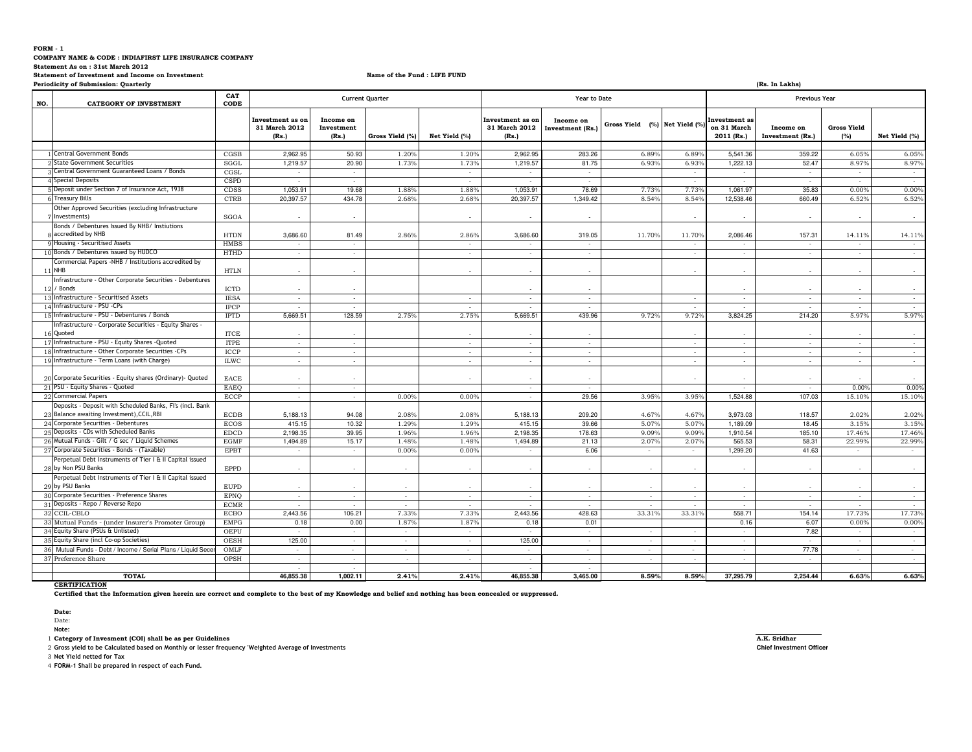#### **FORM - 1 COMPANY NAME & CODE : INDIAFIRST LIFE INSURANCE COMPANY Statement As on : 31st March 2012 Statement of Investment and Income on InvestmentPeriodicity of Submission: Quarterly**

**Name of the Fund : LIFE FUND**

| <b>Periodicity of Submission: Quarterly</b><br>(Rs. In Lakhs)                                           |             |                                            |                                  |                          |                          |                                            |                               |                               |                          |                                                   |                               |                           |               |
|---------------------------------------------------------------------------------------------------------|-------------|--------------------------------------------|----------------------------------|--------------------------|--------------------------|--------------------------------------------|-------------------------------|-------------------------------|--------------------------|---------------------------------------------------|-------------------------------|---------------------------|---------------|
| NO.<br><b>CATEGORY OF INVESTMENT</b>                                                                    | CAT<br>CODE |                                            |                                  | <b>Current Quarter</b>   |                          |                                            | Year to Date                  |                               |                          | <b>Previous Year</b>                              |                               |                           |               |
|                                                                                                         |             | Investment as on<br>31 March 2012<br>(Rs.) | Income on<br>Investment<br>(Rs.) | Gross Yield (%)          | Net Yield (%)            | Investment as on<br>31 March 2012<br>(Rs.) | Income on<br>Investment (Rs.) | Gross Yield (%) Net Yield (%) |                          | <b>Investment</b> as<br>on 31 March<br>2011 (Rs.) | Income on<br>Investment (Rs.) | <b>Gross Yield</b><br>(%) | Net Yield (%) |
| 1 Central Government Bonds                                                                              | CGSB        | 2.962.95                                   | 50.93                            | 1.20%                    | 1.20%                    | 2.962.95                                   | 283.26                        | 6.89%                         | 6.89%                    | 5.541.36                                          | 359.22                        | 6.05%                     | 6.05%         |
| <b>State Government Securities</b>                                                                      | SGGL        | 1,219.57                                   | 20.90                            | 1.73%                    | 1.73%                    | 1,219.57                                   | 81.75                         | 6.93%                         | 6.93%                    | 1,222.13                                          | 52.47                         | 8.97%                     | 8.97%         |
| Central Government Guaranteed Loans / Bonds                                                             | CGSL        |                                            | $\sim$                           |                          | $\sim$                   |                                            | $\sim$                        |                               | $\overline{\phantom{a}}$ |                                                   | $\sim$                        | $\sim$                    | $\sim$        |
| 4 Special Deposits                                                                                      | <b>CSPD</b> | $\sim$                                     | $\sim$                           |                          | $\sim$                   | $\sim$                                     | $\sim$                        |                               | $\sim$                   | $\sim$                                            | $\sim$                        | $\sim$                    | $\sim$        |
| 5 Deposit under Section 7 of Insurance Act, 1938                                                        | CDSS        | 1,053.91                                   | 19.68                            | 1.88%                    | 1.88%                    | 1,053.91                                   | 78.69                         | 7.73%                         | 7.73%                    | 1,061.97                                          | 35.83                         | 0.00%                     | 0.00%         |
| <b>6 Treasury Bills</b>                                                                                 | <b>CTRB</b> | 20,397.57                                  | 434.78                           | 2.68°                    | 2.68%                    | 20,397.57                                  | 1,349.42                      | 8.54%                         | 8.54%                    | 12,538.46                                         | 660.49                        | 6.52%                     | 6.52%         |
| Other Approved Securities (excluding Infrastructure<br>Investments)                                     | SGOA        |                                            |                                  |                          |                          |                                            |                               |                               |                          |                                                   |                               |                           |               |
| Bonds / Debentures Issued By NHB/ Instiutions                                                           |             |                                            |                                  |                          |                          |                                            |                               |                               |                          |                                                   |                               |                           |               |
| 8 accredited by NHB                                                                                     | <b>HTDN</b> | 3,686.60                                   | 81.49                            | 2.86%                    | 2.86%                    | 3,686.60                                   | 319.05                        | 11.70%                        | 11.70%                   | 2,086.46                                          | 157.31                        | 14.11%                    | 14.11%        |
| 9 Housing - Securitised Assets                                                                          | <b>HMBS</b> | $\sim$                                     | $\sim$                           |                          | $\sim$                   | $\sim$                                     | $\sim$                        |                               | $\sim$                   | $\sim$                                            | $\sim$                        | $\sim$                    | $\sim$        |
| 10 Bonds / Debentures issued by HUDCO                                                                   | <b>HTHD</b> | $\sim$                                     | $\sim$                           |                          | $\sim$                   | $\sim$                                     | $\sim$                        |                               | $\sim$                   | $\sim$                                            | $\sim$                        | $\sim$                    | $\sim$        |
| Commercial Papers -NHB / Institutions accredited by                                                     |             |                                            |                                  |                          |                          |                                            |                               |                               |                          |                                                   |                               |                           |               |
| 11 NHB                                                                                                  | <b>HTLN</b> | $\sim$                                     |                                  |                          |                          |                                            |                               |                               |                          |                                                   |                               |                           |               |
| Infrastructure - Other Corporate Securities - Debentures<br>12 / Bonds                                  | <b>ICTD</b> | $\sim$                                     |                                  |                          |                          |                                            |                               |                               |                          |                                                   |                               |                           |               |
| 13 Infrastructure - Securitised Assets                                                                  | <b>IESA</b> | $\sim$                                     | $\sim$                           |                          | $\sim$                   | $\sim$                                     | $\sim$                        |                               | $\sim$                   | $\sim$                                            | $\sim$                        | $\sim$                    | $\sim$        |
| 14 Infrastructure - PSU -CPs                                                                            | <b>IPCP</b> | $\sim$                                     | $\sim$                           |                          | $\sim$                   | $\sim$                                     | $\sim$                        |                               | $\sim$                   | $\overline{\phantom{a}}$                          | $\sim$                        | $\sim$                    | $\sim$        |
| 15 Infrastructure - PSU - Debentures / Bonds                                                            | <b>IPTD</b> | 5,669.51                                   | 128.59                           | 2.75%                    | 2.75%                    | 5,669.51                                   | 439.96                        | 9.72%                         | 9.72%                    | 3,824.25                                          | 214.20                        | 5.97%                     | 5.97%         |
| Infrastructure - Corporate Securities - Equity Shares -<br>16 Quoted                                    | <b>ITCE</b> |                                            |                                  |                          |                          |                                            |                               |                               |                          |                                                   |                               |                           | $\sim$        |
| 17 Infrastructure - PSU - Equity Shares - Quoted                                                        | <b>ITPE</b> | $\overline{\phantom{a}}$                   | $\sim$                           |                          |                          |                                            |                               |                               | $\overline{\phantom{a}}$ |                                                   |                               | $\sim$                    | $\sim$        |
| 18 Infrastructure - Other Corporate Securities -CPs                                                     | ICCP        | $\sim$                                     | $\sim$                           |                          | $\sim$                   | $\sim$                                     | $\sim$                        |                               | $\sim$                   | $\sim$                                            | $\sim$                        | $\sim$                    | $\sim$        |
| 19 Infrastructure - Term Loans (with Charge)                                                            | <b>ILWC</b> | $\sim$                                     | $\sim$                           |                          | $\sim$                   | $\sim$                                     | $\sim$                        |                               | $\sim$                   | $\sim$                                            | $\sim$                        | $\sim$                    | $\sim$        |
| 20 Corporate Securities - Equity shares (Ordinary) - Quoted                                             | EACE        |                                            |                                  |                          |                          |                                            |                               |                               |                          |                                                   |                               |                           |               |
| 21 PSU - Equity Shares - Quoted                                                                         | EAEO        | $\sim$                                     | $\sim$                           |                          |                          | $\sim$                                     | $\sim$                        |                               |                          | $\overline{\phantom{a}}$                          | $\sim$                        | 0.00%                     | 0.00%         |
| 22 Commercial Papers                                                                                    | <b>ECCP</b> | $\sim$                                     | $\sim$                           | 0.00%                    | 0.00%                    | $\sim$                                     | 29.56                         | 3.95%                         | 3.95%                    | 1,524.88                                          | 107.03                        | 15.10%                    | 15.10%        |
| Deposits - Deposit with Scheduled Banks, FI's (incl. Bank<br>23 Balance awaiting Investment), CCIL, RBI | <b>ECDB</b> | 5,188.13                                   | 94.08                            | 2.08%                    | 2.08%                    | 5,188.13                                   | 209.20                        | 4.67%                         | 4.67%                    | 3,973.03                                          | 118.57                        | 2.02%                     | 2.02%         |
| 24 Corporate Securities - Debentures                                                                    | <b>ECOS</b> | 415.15                                     | 10.32                            | 1.29%                    | 1.29%                    | 415.15                                     | 39.66                         | 5.07%                         | 5.07%                    | 1.189.09                                          | 18.45                         | 3.15%                     | 3.15%         |
| 25 Deposits - CDs with Scheduled Banks                                                                  | <b>EDCD</b> | 2,198.35                                   | 39.95                            | 1.96%                    | 1.96%                    | 2,198.35                                   | 178.63                        | 9.09%                         | 9.09%                    | 1,910.54                                          | 185.10                        | 17.46%                    | 17.46%        |
| 26 Mutual Funds - Gilt / G sec / Liquid Schemes                                                         | EGMF        | 1,494.89                                   | 15.17                            | 1.48 <sup>°</sup>        | 1.48%                    | 1,494.89                                   | 21.13                         | 2.07%                         | 2.07                     | 565.53                                            | 58.31                         | 22.99%                    | 22.99%        |
| 27 Corporate Securities - Bonds - (Taxable)                                                             | <b>EPBT</b> | $\sim$                                     | $\sim$                           | $0.00^{\circ}$           | $0.00^{\circ}$           |                                            | 6.06                          | $\sim$                        | $\sim$                   | 1.299.20                                          | 41.63                         | $\sim$                    | $\sim$        |
| Perpetual Debt Instruments of Tier I & II Capital issued<br>28 by Non PSU Banks                         | <b>EPPD</b> | $\sim$                                     |                                  | $\sim$                   |                          |                                            |                               |                               | $\sim$                   | $\overline{\phantom{a}}$                          |                               | $\sim$                    | $\sim$        |
| Perpetual Debt Instruments of Tier I & II Capital issued<br>29 by PSU Banks                             | <b>EUPD</b> | $\overline{\phantom{a}}$                   |                                  | $\sim$                   |                          |                                            |                               |                               |                          |                                                   |                               |                           | $\sim$        |
| 30 Corporate Securities - Preference Shares                                                             | <b>EPNO</b> | $\sim$                                     | $\sim$                           | $\sim$                   | $\sim$                   | $\sim$                                     | $\sim$                        | $\sim$                        | $\sim$                   | $\sim$                                            | $\sim$                        | $\sim$                    | $\sim$        |
| 31 Deposits - Repo / Reverse Repo                                                                       | <b>ECMR</b> | $\overline{\phantom{a}}$                   | $\sim$                           | $\sim$                   | ۰.                       |                                            | $\overline{\phantom{a}}$      | $\overline{\phantom{a}}$      | $\overline{\phantom{a}}$ | $\overline{\phantom{a}}$                          | $\sim$                        | $\sim$                    | $\sim$        |
| 32 CCIL-CBLO                                                                                            | <b>ECBO</b> | 2,443.56                                   | 106.21                           | $7.33^{\circ}$           | 7.33%                    | 2.443.56                                   | 428.63                        | 33.31%                        | 33.31 <sup>9</sup>       | 558.71                                            | 154.14                        | 17.73%                    | 17.73%        |
| 33 Mutual Funds - (under Insurer's Promoter Group)                                                      | <b>EMPG</b> | 0.18                                       | 0.00                             | 1.87%                    | 1.87%                    | 0.18                                       | 0.01                          |                               |                          | 0.16                                              | 6.07                          | 0.00%                     | 0.00%         |
| 34 Equity Share (PSUs & Unlisted)                                                                       | OEPU        | $\sim$                                     | $\sim$                           | $\overline{\phantom{a}}$ |                          |                                            |                               |                               | $\overline{\phantom{a}}$ |                                                   | 7.82                          | $\sim$                    | $\sim$        |
| 35 Equity Share (incl Co-op Societies)                                                                  | OESH        | 125.00                                     | $\sim$                           | $\sim$                   | $\sim$                   | 125.00                                     | $\sim$                        | $\sim$                        | $\overline{\phantom{a}}$ | $\sim$                                            | $\sim$                        | $\sim$                    | $\sim$        |
| 36 Mutual Funds - Debt / Income / Serial Plans / Liquid Sec                                             | OMLF        | $\sim$                                     | $\sim$                           | $\sim$                   |                          | ÷.                                         |                               | ×.                            | $\sim$                   | $\overline{\phantom{a}}$                          | 77.78                         | $\sim$                    | $\sim$        |
| 37 Preference Share                                                                                     | OPSH        | $\sim$                                     | $\sim$                           | $\sim$                   | $\overline{\phantom{a}}$ | $\sim$                                     | $\sim$                        | $\sim$                        | $\sim$                   | $\sim$                                            | $\sim$                        | $\sim$                    | $\sim$        |
|                                                                                                         |             | $\sim$                                     | $\sim$                           |                          |                          | $\sim$                                     | $\sim$                        |                               |                          |                                                   |                               |                           |               |
| <b>TOTAL</b>                                                                                            |             | 46,855.38                                  | 1.002.11                         | 2.41%                    | 2.41%                    | 46.855.38                                  | 3.465.00                      | 8.59%                         | 8.59%                    | 37,295.79                                         | 2.254.44                      | 6.63%                     | 6.63%         |

**CERTIFICATION**

**Certified that the Information given herein are correct and complete to the best of my Knowledge and belief and nothing has been concealed or suppressed.**

**Date:** Date:

**Note:** 

1 **Category of Invesment (COI) shall be as per Guidelines A.K. Sridhar**

2 **Gross yield to be Calculated based on Monthly or lesser frequency 'Weighted Average of Investments Chief Investment Officer**

3 **Net Yield netted for Tax**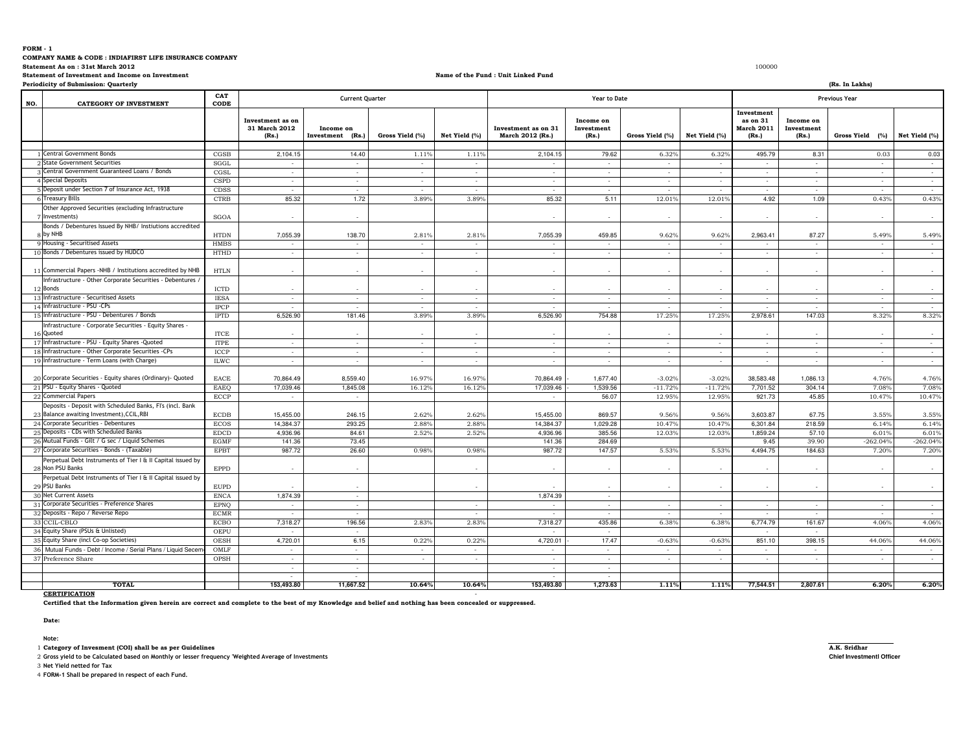**COMPANY NAME & CODE : INDIAFIRST LIFE INSURANCE COMPANY** 

**Statement As on : 31st March 20122** and the state of the state of the state of the state of the state of the state of the state of the state of the state of the state of the state of the state of the state of the state of the state of the state of the st

**Statement of Investment and Income on Investment**

#### **Name of the Fund : Unit Linked Fund**

**10.64% 153,493.80 1,273.63 1.11% 1.11% 77,544.51 2,807.61 6.20% 6.20%**

**Periodicity of Submission: Quarterly (Rs. In Lakhs) NO. CATEGORY OF INVESTMENT CAT CODEInvestment as on 31 March 2012 (Rs.)Income on Investment (Rs.) Gross Yield (%) Net Yield (%) Investment as on 31 March 2012 (Rs.)Income on Investment (Rs.) Gross Yield (%) Net Yield (%) Investment as on 31 March 2011 (Rs.)Income on Investment (Rs.) Gross Yield (%) Net Yield (%)** 11Central Government Bonds CGSB 2,104.15 14.40 1.11% 1.11% 2,104.15 79.62 6.32% 6.32% 495.79 8.31 0.03 0.03 2 State Government Securities State Government Securities SGGL - - - - - - - - - - - - Gentral Government Guaranteed Loans / Bonds Central Government Guaranteed Loans / Bonds CGSL - - - - - - - - - - - - Special Deposits CSPD - - - - - - - - - - - - 55 |Deposit under Section 7 of Insurance Act, 1938 CDDSS | CDSS | And Act | CDSS | And Act | CDSS | And Act | CDSS | CDSS | CDSS | CDSS | CDSS | CDSS | CDSS | CDSS | CDSS | CDSS | CDSS | CDSS | CDSS | CDSS | CDSS | CDSS | C 6 Treasury Bills 6 Treasury Bills CTRB CTRB 85.32 1.72 3.89% 3.89% 85.32 5.11 12.01% 12.01% 4.92 1.09 0.43% 0.43% 7Other Approved Securities (excluding Infrastructure Investments) $SGOA$  -  $\qquad \qquad$  -  $\qquad \qquad$  - - - - - - - - - 8 9Bonds / Debentures Issued By NHB/ Instiutions accredited by NHBB 138.70 7,055.39 138.70 2.81% 2.81% 2.81% 7,055.39 459.85 9.62% 9.62% 2,963.41 87.27 5.49% 5.49% Housing - Securitised Assets HMBS - - - - - - - - - - - - 10 Bonds / Debentures issued by HUDCO opBonds / Debentures issued by HUDCO https://www.charged.com/https://www.charged.com/https://www.charged.com/https://www.charged.com/https://www.charged.com/https://www.charged.com/https://www.charged.com/https://www.charg 11Commercial Papers -NHB / Institutions accredited by NHB | HTLN 12 13Infrastructure - Other Corporate Securities - Debentures / Bonds $ICTD$  -  $ICTD$  - - - - - - - - - - - - Infrastructure - Securitised Assets IESA - - - - - - - - - - - - 14 Infrastructure - PSU -CPs Infrastructure - PSU -CPs IPCP - - - - - - - - - - - - 15 Infrastructure - PSU - Debentures / Bonds IPTD 181.46 6,526.90 3.89% 3.89% 754.88 6,526.90 17.25% 17.25% 147.03 2,978.61 8.32% 8.32%16 Quoted 17Infrastructure - Corporate Securities - Equity Shares - ITCE - - - - - - - - - - - - Infrastructure - PSU - Equity Shares -Quoted ITPE - - - - - - - - - - - - 18 Infrastructure - Other Corporate Securities -CPs Infrastructure - Other Corporate Securities -CPs ICCP - - - - - - - - - - - - 19 Infrastructure - Term Loans (with Charge) Infrastructure - Term Loans (with Charge) ILWC - - - - - - - - - - - -  $20$ 0 Corporate Securities - Equity shares (Ordinary)- Quoted EACE 70,864.49 70,864.49 16.97% 16.97% 70,864.49 70,864.49 70,864.49 1,677.40 -3.02% -3.02% 38,583.48 1,086.13 4.76% 4.76% 4.76% 7.08% 21 PSU - Equity Shares - Quoted 1PSU - Equity Shares - Quoted EAEQ 17,039.46 1,845.08 16.12% 16.12% 17,039.46 1,539.56 − 11.72% 7,701.52 304.14 7.08% 7.08% 10.47% 22 Commercial Papers 2 Commercial Papers 201.73 45.85 10.47% 12.95% 56.07 12.95% 12.95% 921.73 45.85 10.47% 10.47% 10.47% 10.47% 10.95% 10.95% 921.73 10.47% 10.47% 10.47% 10.47% 10.47% 10.47% 10.47% 10.47% 10.47% 10.47% 10.47% 10.47% 10.47% 10  $2<sup>3</sup>$  24Deposits - Deposit with Scheduled Banks, FI's (incl. Bank Balance awaiting Investment),CCIL,RBIECDB 15.455.00 246.15 15,455.00 246.15 2.62% 2.62% 15,455.00 869.57 9.56% 9.56% 3,603.87 67.75 3.55% 3.55% 3.55% 6.14% A Corporate Securities - Debentures Becos 14,384.37 2.93.25 2.88% 2.88% 14,384.37 1,029.28 10.47% 10.47% 6,301.84 218.59 6.14% 6.14% 6.01% 25 Deposits - CDs with Scheduled Banks Deposits - CDs with Scheduled Banks EDCD 84.61 4,936.96 2.52% 2.52% 385.56 4,936.96 12.03% 12.03% 57.10 1,859.24 6.01% 6.01% $-262.04%$ 266Mutual Funds - Gilt / G sec / Liquid Schemes EGMF 141.36 141.36 284.69 141.36 284.69 9.45 39.90 - 262.04% -262.04% -262.04%  $-262.04\%$   $-262.04\%$ 27 Corporate Securities - Bonds - (Taxable) Corporate Securities - Bonds - (Taxable) EPBT 26.60 987.72 0.98% 0.98% 147.57 987.72 5.53% 5.53% 184.63 4,494.75 7.20% 7.20%28Perpetual Debt Instruments of Tier I & II Capital issued by Non PSU Bankss and the set of the EPPD in the set of the set of the set of the set of the set of the set of the set of the s - - - - - - - - - - 29 30Perpetual Debt Instruments of Tier I & II Capital issued by PSU Bankss and the set of the EUPD in the set of the set of the set of the set of the set of the set of the set of the set of the set of the set of the set of the set of the set of the set of the set of the set of the set of the se - - - - - - - - - - 0 Net Current Assets **ENCA** ENCA - 1,874.39 - 1,874.39 - 1,874.39 - 1,874.39 - 1,874.39 - 1,874.39 - 1,874.39 - 1,874.39 - 1,874.39 - 1,874.39 - 1,874.39 - 1,874.39 - 1,874.39 - 1,874.39 - 1,874.39 - 1,874.39 - 1,874.39 - 31 Corporate Securities - Preference Shares 1 Corporate Securities - Preference Shares EPNQ EPNQ Present and the corporate Securities - Preference Shares EPNQ Present and the corporate Securities - Preference Shares EPNQ Present and the corporate Securities - Prefer 32 Deposits - Repo / Reverse Repo Deposits - Repo / Reverse Repo ECMR - - - - - - - - - - - 33 CCIL-CBLO<br>34 Equity Share ECBO 196.56 7,318.27 2.83% 2.83% 435.86 7,318.27 6.38% 6.38% 161.67 6,774.79 4.06% 4.06% Equity Share (PSUs & Unlisted) OEPU - - - - - - 35 Equity Share (incl Co-op Societies) E Equity Share (incl Co-op Societies) OESH 4,720.01 4,720.01 6.15 0.22% 0.22% 4,720.01 - 17.47 -0.63% -0.63% 851.10 398.15 44.06% 44.06% 36 Mutual Funds - Debt / Income / Serial Plans / Liquid Secemes OMLF - - - - - - - - - - - - <sup>37</sup> Preference Share OPSH - - - - - - - - - - - - - - - - - - - - **TOTALCurrent Quarter Year to DatePrevious Year**

**Date:** 

**CERTIFICATION**

**Note:** 

1 **Category of Invesment (COI) shall be as per Guidelines A.K. Sridhar**

2 **Gross yield to be Calculated based on Monthly or lesser frequency 'Weighted Average of Investments Chief Investmentl Officer**

**153,493.80 11,667.52 10.64%**

- **Certified that the Information given herein are correct and complete to the best of my Knowledge and belief and nothing has been concealed or suppressed.**

3 **Net Yield netted for Tax**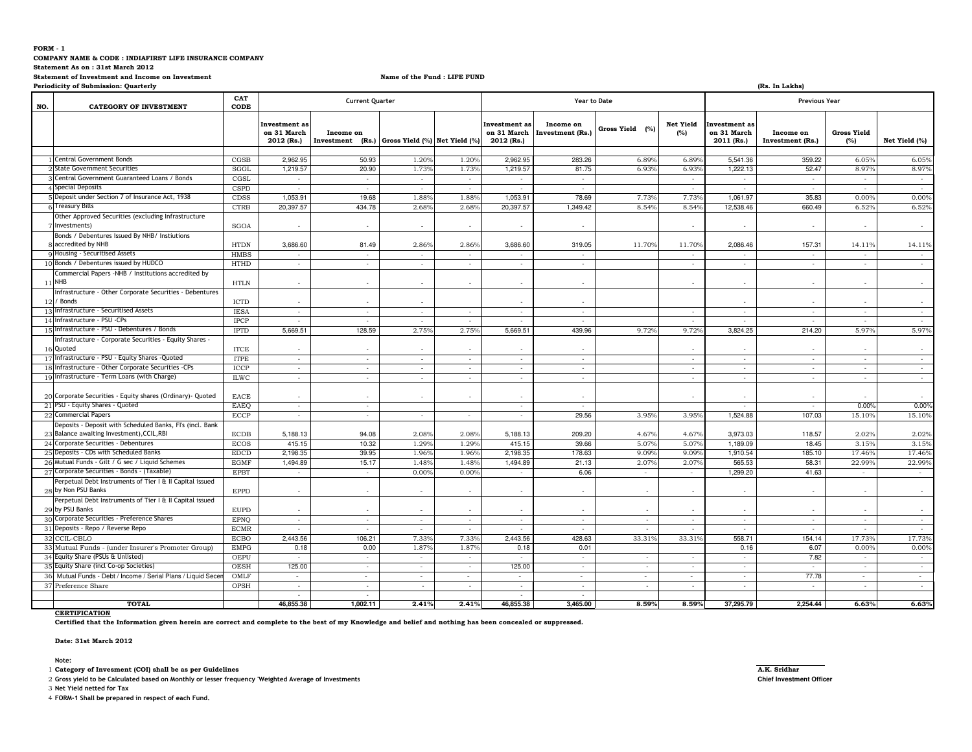#### **COMPANY NAME & CODE : INDIAFIRST LIFE INSURANCE COMPANY**

**Statement As on : 31st March 2012**

#### **Statement of Investment and Income on Investment**

**Name of the Fund : LIFE FUND**

| (Rs. In Lakhs)<br><b>Periodicity of Submission: Quarterly</b> |                                                                                 |                     |                                            |                               |                               |                |                                            |                               |                 |                          |                                                   |                               |                           |                |  |
|---------------------------------------------------------------|---------------------------------------------------------------------------------|---------------------|--------------------------------------------|-------------------------------|-------------------------------|----------------|--------------------------------------------|-------------------------------|-----------------|--------------------------|---------------------------------------------------|-------------------------------|---------------------------|----------------|--|
| NO.                                                           | <b>CATEGORY OF INVESTMENT</b>                                                   | CAT<br>CODE         |                                            | <b>Current Quarter</b>        |                               |                |                                            | Year to Date                  |                 |                          | <b>Previous Year</b>                              |                               |                           |                |  |
|                                                               |                                                                                 |                     | Investment as<br>on 31 March<br>2012 (Rs.) | Income on<br>Investment (Rs.) | Gross Yield (%) Net Yield (%) |                | Investment as<br>on 31 March<br>2012 (Rs.) | Income on<br>Investment (Rs.) | Gross Yield (%) | <b>Net Yield</b><br>(%)  | <b>Investment</b> as<br>on 31 March<br>2011 (Rs.) | Income on<br>Investment (Rs.) | <b>Gross Yield</b><br>(%) | Net Yield (%)  |  |
|                                                               | <b>Central Government Bonds</b>                                                 | CGSB                | 2,962.95                                   | 50.93                         | 1.20%                         | 1.20%          | 2,962.95                                   | 283.26                        | 6.89%           | 6.89%                    | 5,541.36                                          | 359.22                        | 6.05%                     | 6.05%          |  |
|                                                               | State Government Securities                                                     | SGGL                | 1,219.57                                   | 20.90                         | 1.73%                         | 1.73%          | 1,219.57                                   | 81.75                         | 6.93%           | 6.93%                    | 1,222.13                                          | 52.47                         | 8.97%                     | 8.97%          |  |
|                                                               | Central Government Guaranteed Loans / Bonds                                     | CGSL                | $\epsilon$                                 | $\sim$                        |                               | $\sim$         | $\sim$                                     | $\sim$                        |                 | $\cdot$                  | $\overline{\phantom{a}}$                          | $\sim$                        | $\cdot$                   | $\sim$         |  |
|                                                               | Special Deposits                                                                | <b>CSPD</b>         |                                            | $\overline{\phantom{a}}$      | $\sim$<br>$\sim$              | $\sim$         |                                            |                               |                 |                          |                                                   |                               |                           | ۰.             |  |
|                                                               | Deposit under Section 7 of Insurance Act, 1938                                  |                     |                                            |                               |                               |                |                                            |                               |                 |                          |                                                   |                               |                           |                |  |
|                                                               | 6 Treasury Bills                                                                | CDSS<br><b>CTRB</b> | 1,053.91<br>20,397.57                      | 19.68<br>434.78               | 1.88%<br>2.68%                | 1.88%<br>2.68% | 1,053.9<br>20,397.57                       | 78.69<br>1,349.42             | 7.73%<br>8.54%  | 7.73%<br>8.54%           | 1,061.97<br>12,538.46                             | 35.83                         | 0.00%                     | 0.00%<br>6.52% |  |
|                                                               | Other Approved Securities (excluding Infrastructure<br>Investments)             | SGOA                | $\overline{\phantom{a}}$                   |                               | $\sim$                        | $\sim$         | $\sim$                                     |                               |                 |                          |                                                   | 660.49                        | 6.52%                     | $\sim$         |  |
|                                                               | Bonds / Debentures Issued By NHB/ Instiutions                                   |                     |                                            |                               |                               |                |                                            |                               |                 |                          |                                                   |                               |                           |                |  |
|                                                               | accredited by NHB                                                               | <b>HTDN</b>         | 3,686.60                                   | 81.49                         | 2.86%                         | 2.86%          | 3,686.60                                   | 319.05                        | 11.70%          | 11.70%                   | 2,086.46                                          | 157.31                        | $14.11^{\circ}$           | 14.11%         |  |
|                                                               | 9 Housing - Securitised Assets                                                  | <b>HMBS</b>         | $\sim$                                     | $\sim$                        | $\sim$                        | $\sim$         | ٠.                                         | $\sim$                        |                 | $\sim$                   | $\sim$                                            | $\sim$                        | $\sim$                    | $\sim$         |  |
|                                                               | 10 Bonds / Debentures issued by HUDCO                                           | <b>HTHD</b>         | $\sim$                                     | $\sim$                        | $\sim$                        | $\sim$         | $\sim$                                     | $\sim$                        |                 | $\sim$                   | $\sim$                                            | $\sim$                        | $\sim$                    | $\sim$         |  |
|                                                               | Commercial Papers -NHB / Institutions accredited by<br>11 NHB                   | <b>HTLN</b>         | $\sim$                                     |                               | $\sim$                        | $\sim$         | $\sim$                                     |                               |                 |                          |                                                   |                               |                           | $\sim$         |  |
|                                                               | nfrastructure - Other Corporate Securities - Debentures                         |                     |                                            |                               |                               |                |                                            |                               |                 |                          |                                                   |                               |                           |                |  |
|                                                               | / Bonds                                                                         | <b>ICTD</b>         |                                            |                               | $\sim$                        |                |                                            |                               |                 |                          |                                                   |                               |                           |                |  |
|                                                               | 13 Infrastructure - Securitised Assets                                          | <b>IESA</b>         | ÷                                          | $\overline{\phantom{a}}$      | $\sim$                        | $\sim$         | $\sim$                                     |                               |                 |                          |                                                   |                               |                           | $\sim$         |  |
|                                                               | 14 Infrastructure - PSU - CPs                                                   | <b>IPCP</b>         | $\sim$                                     | $\sim$                        | $\sim$                        | $\sim$         | $\sim$                                     | $\sim$                        |                 | $\sim$                   | $\sim$                                            | $\sim$                        | $\sim$                    | $\sim$         |  |
|                                                               | 15 Infrastructure - PSU - Debentures / Bonds                                    | <b>IPTD</b>         | 5,669.51                                   | 128.59                        | 2.75%                         | 2.75%          | 5,669.51                                   | 439.96                        | 9.72%           | 9.72%                    | 3,824.25                                          | 214.20                        | 5.97%                     | 5.97%          |  |
|                                                               | Infrastructure - Corporate Securities - Equity Shares -                         |                     |                                            |                               |                               |                |                                            |                               |                 |                          |                                                   |                               |                           |                |  |
|                                                               | 16 Quoted                                                                       | <b>ITCE</b>         | ٠                                          |                               | $\sim$                        | $\sim$         |                                            |                               |                 |                          |                                                   |                               |                           |                |  |
|                                                               | 17 Infrastructure - PSU - Equity Shares - Quoted                                | <b>ITPE</b>         | ÷.                                         | $\sim$                        | $\sim$                        | $\sim$         | $\sim$                                     |                               |                 |                          | ×.                                                |                               |                           | $\sim$         |  |
|                                                               | 18 Infrastructure - Other Corporate Securities -CPs                             | ICCP                | $\sim$                                     | $\sim$                        | $\sim$                        | $\sim$         | $\sim$                                     | $\sim$                        |                 | $\sim$                   | ٠                                                 | $\sim$                        | $\overline{\phantom{a}}$  | $\sim$         |  |
|                                                               | 19 Infrastructure - Term Loans (with Charge)                                    | <b>ILWC</b>         | $\sim$                                     | $\sim$                        | $\sim$                        | $\sim$         | $\sim$                                     | $\sim$                        |                 | $\sim$                   | $\sim$                                            | $\sim$                        | $\sim$                    | $\sim$         |  |
|                                                               |                                                                                 |                     |                                            |                               |                               |                |                                            |                               |                 |                          |                                                   |                               |                           |                |  |
|                                                               | 20 Corporate Securities - Equity shares (Ordinary) - Quoted                     | <b>EACE</b>         | $\overline{\phantom{a}}$                   |                               | $\sim$                        |                |                                            |                               |                 |                          |                                                   |                               |                           |                |  |
|                                                               | 21 PSU - Equity Shares - Quoted                                                 | <b>EAEO</b>         | $\sim$                                     | $\sim$                        |                               |                | $\sim$                                     | $\sim$                        |                 |                          | $\sim$                                            | $\sim$                        | 0.00%                     | 0.00%          |  |
|                                                               | 22 Commercial Papers                                                            | ECCP                | $\sim$                                     | $\sim$                        | $\sim$                        | $\sim$         | $\sim$                                     | 29.56                         | 3.95%           | 3.95%                    | 1,524.88                                          | 107.03                        | 15.10%                    | 15.10%         |  |
|                                                               | Deposits - Deposit with Scheduled Banks, Fl's (incl. Bank                       |                     |                                            |                               |                               |                |                                            |                               |                 |                          |                                                   |                               |                           |                |  |
|                                                               | 23 Balance awaiting Investment), CCIL, RBI                                      | <b>ECDB</b>         | 5,188.13                                   | 94.08                         | 2.08%                         | 2.08%          | 5,188.13                                   | 209.20                        | 4.67%           | 4.67%                    | 3,973.03                                          | 118.57                        | 2.02%                     | 2.02%          |  |
|                                                               | 24 Corporate Securities - Debentures                                            | <b>ECOS</b>         | 415.15                                     | 10.32                         | 1.29%                         | 1.299          | 415.15                                     | 39.66                         | 5.079           | 5.07                     | 1,189.09                                          | 18.45                         | 3.15%                     | 3.15%          |  |
|                                                               | 25 Deposits - CDs with Scheduled Banks                                          | <b>EDCD</b>         | 2,198.35                                   | 39.95                         | 1.96%                         | 1.96%          | 2,198.35                                   | 178.63                        | 9.09%           | 9.099                    | 1,910.54                                          | 185.10                        | 17.46%                    | 17.46%         |  |
|                                                               | 26 Mutual Funds - Gilt / G sec / Liquid Schemes                                 | <b>EGMF</b>         | 1,494.89                                   | 15.17                         | $1.48^{\circ}$                | 1.489          | 1,494.89                                   | 21.13                         | 2.079           | $2.07^{\circ}$           | 565.53                                            | 58.31                         | 22.99                     | 22.99%         |  |
|                                                               | 27 Corporate Securities - Bonds - (Taxable)                                     | <b>EPBT</b>         | $\sim$                                     | $\sim$                        | 0.00%                         | 0.00%          | $\sim$                                     | 6.06                          | $\sim$          | $\sim$                   | 1,299.20                                          | 41.63                         | $\sim$                    | $\sim$         |  |
|                                                               | Perpetual Debt Instruments of Tier I & II Capital issued<br>28 by Non PSU Banks | <b>EPPD</b>         | $\sim$                                     |                               | $\sim$                        | $\sim$         | $\sim$                                     |                               | ÷               |                          | ×.                                                |                               |                           | $\sim$         |  |
|                                                               | Perpetual Debt Instruments of Tier I & II Capital issued                        |                     |                                            |                               |                               |                |                                            |                               |                 |                          |                                                   |                               |                           |                |  |
|                                                               | 29 by PSU Banks                                                                 | <b>EUPD</b>         | ٠                                          |                               | $\sim$                        | $\sim$         | $\overline{\phantom{a}}$                   |                               |                 |                          |                                                   |                               |                           |                |  |
|                                                               | 30 Corporate Securities - Preference Shares                                     | <b>EPNO</b>         | $\sim$                                     | $\sim$                        | $\sim$                        | $\sim$         | $\sim$                                     | $\sim$                        | $\sim$          | $\sim$                   | ×.                                                | $\sim$                        | $\epsilon$                | $\sim$         |  |
|                                                               | 31 Deposits - Repo / Reverse Repo                                               | <b>ECMR</b>         | $\sim$                                     | $\sim$                        | $\sim$                        | $\sim$         | $\sim$                                     | $\sim$                        | $\sim$          | $\sim$                   | $\sim$                                            | $\sim$                        | $\sim$                    | $\sim$ $-$     |  |
|                                                               | 32 CCIL-CBLO                                                                    | <b>ECBO</b>         | 2.443.56                                   | 106.21                        | 7.33%                         | 7.33%          | 2,443.56                                   | 428.63                        | 33.31%          | 33.31 <sup>9</sup>       | 558.71                                            | 154.14                        | 17.73%                    | 17.73%         |  |
|                                                               | 33 Mutual Funds - (under Insurer's Promoter Group)                              | <b>EMPG</b>         | 0.18                                       | 0.00                          | 1.87%                         | 1.87%          | 0.18                                       | 0.01                          |                 |                          | 0.16                                              | 6.07                          | $0.00^{\circ}$            | 0.00%          |  |
|                                                               | 34 Equity Share (PSUs & Unlisted)                                               | OEPU                | $\sim$                                     | $\sim$                        | $\sim$                        | $\sim$         | $\sim$                                     | $\sim$                        | $\sim$          | $\sim$                   | $\sim$                                            | 7.82                          | $\sim$                    | $\sim$         |  |
|                                                               | 35 Equity Share (incl Co-op Societies)                                          | <b>OESH</b>         | 125.00                                     | $\sim$                        | $\sim$                        | $\sim$         | 125.00                                     | $\sim$                        | $\cdot$         | $\overline{\phantom{a}}$ | ٠                                                 | $\sim$                        | $\overline{\phantom{a}}$  | $\sim$         |  |
|                                                               | 36 Mutual Funds - Debt / Income / Serial Plans / Liquid Sece                    | OMLF                |                                            | ×.                            | $\sim$                        | $\sim$         | $\sim$                                     | $\sim$                        | $\sim$          |                          | $\sim$                                            | 77.78                         |                           | $\sim$         |  |
|                                                               | 37 Preference Share                                                             | OPSH                | $\sim$                                     | $\sim$                        | $\sim$                        | $\sim$         | $\sim$                                     | $\sim$                        | $\sim$          | $\sim$                   | ٠                                                 | $\sim$                        | $\sim$                    | $\sim$         |  |
|                                                               |                                                                                 |                     | $\overline{\phantom{a}}$                   | $\sim$                        |                               |                | $\sim$                                     | $\sim$                        |                 |                          |                                                   |                               |                           |                |  |
|                                                               | <b>TOTAL</b>                                                                    |                     | 46,855.38                                  | 1,002.11                      | 2.41%                         | 2.41%          | 46,855.38                                  | 3,465.00                      | 8.59%           | 8.59%                    | 37,295.79                                         | 2.254.44                      | 6.63%                     | 6.63%          |  |

## **CERTIFICATION**

**Certified that the Information given herein are correct and complete to the best of my Knowledge and belief and nothing has been concealed or suppressed.**

### **Date: 31st March 2012**

**Note:** 

1 **Category of Invesment (COI) shall be as per Guidelines A.K. Sridhar**

2 **Gross yield to be Calculated based on Monthly or lesser frequency 'Weighted Average of Investments Chief Investment Officer**

3 **Net Yield netted for Tax**